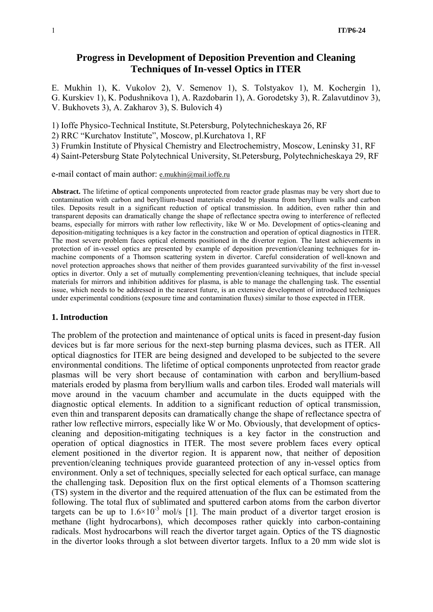# **Progress in Development of Deposition Prevention and Cleaning Techniques of In-vessel Optics in ITER**

E. Mukhin 1), K. Vukolov 2), V. Semenov 1), S. Tolstyakov 1), M. Kochergin 1), G. Kurskiev 1), K. Podushnikova 1), A. Razdobarin 1), A. Gorodetsky 3), R. Zalavutdinov 3), V. Bukhovets 3), A. Zakharov 3), S. Bulovich 4)

1) Ioffe Physico-Technical Institute, St.Petersburg, Polytechnicheskaya 26, RF

2) RRC "Kurchatov Institute", Moscow, pl.Kurchatova 1, RF

3) Frumkin Institute of Physical Chemistry and Electrochemistry, Moscow, Leninsky 31, RF

4) Saint-Petersburg State Polytechnical University, St.Petersburg, Polytechnicheskaya 29, RF

e-mail contact of main author: e.mukhin@mail.ioffe.ru

**Abstract.** The lifetime of optical components unprotected from reactor grade plasmas may be very short due to contamination with carbon and beryllium-based materials eroded by plasma from beryllium walls and carbon tiles. Deposits result in a significant reduction of optical transmission. In addition, even rather thin and transparent deposits can dramatically change the shape of reflectance spectra owing to interference of reflected beams, especially for mirrors with rather low reflectivity, like W or Mo. Development of optics-cleaning and deposition-mitigating techniques is a key factor in the construction and operation of optical diagnostics in ITER. The most severe problem faces optical elements positioned in the divertor region. The latest achievements in protection of in-vessel optics are presented by example of deposition prevention/cleaning techniques for inmachine components of a Thomson scattering system in divertor. Careful consideration of well-known and novel protection approaches shows that neither of them provides guaranteed survivability of the first in-vessel optics in divertor. Only a set of mutually complementing prevention/cleaning techniques, that include special materials for mirrors and inhibition additives for plasma, is able to manage the challenging task. The essential issue, which needs to be addressed in the nearest future, is an extensive development of introduced techniques under experimental conditions (exposure time and contamination fluxes) similar to those expected in ITER.

#### **1. Introduction**

The problem of the protection and maintenance of optical units is faced in present-day fusion devices but is far more serious for the next-step burning plasma devices, such as ITER. All optical diagnostics for ITER are being designed and developed to be subjected to the severe environmental conditions. The lifetime of optical components unprotected from reactor grade plasmas will be very short because of contamination with carbon and beryllium-based materials eroded by plasma from beryllium walls and carbon tiles. Eroded wall materials will move around in the vacuum chamber and accumulate in the ducts equipped with the diagnostic optical elements. In addition to a significant reduction of optical transmission, even thin and transparent deposits can dramatically change the shape of reflectance spectra of rather low reflective mirrors, especially like W or Mo. Obviously, that development of opticscleaning and deposition-mitigating techniques is a key factor in the construction and operation of optical diagnostics in ITER. The most severe problem faces every optical element positioned in the divertor region. It is apparent now, that neither of deposition prevention/cleaning techniques provide guaranteed protection of any in-vessel optics from environment. Only a set of techniques, specially selected for each optical surface, can manage the challenging task. Deposition flux on the first optical elements of a Thomson scattering (TS) system in the divertor and the required attenuation of the flux can be estimated from the following. The total flux of sublimated and sputtered carbon atoms from the carbon divertor targets can be up to  $1.6 \times 10^{-3}$  mol/s [1]. The main product of a divertor target erosion is methane (light hydrocarbons), which decomposes rather quickly into carbon-containing radicals. Most hydrocarbons will reach the divertor target again. Optics of the TS diagnostic in the divertor looks through a slot between divertor targets. Influx to a 20 mm wide slot is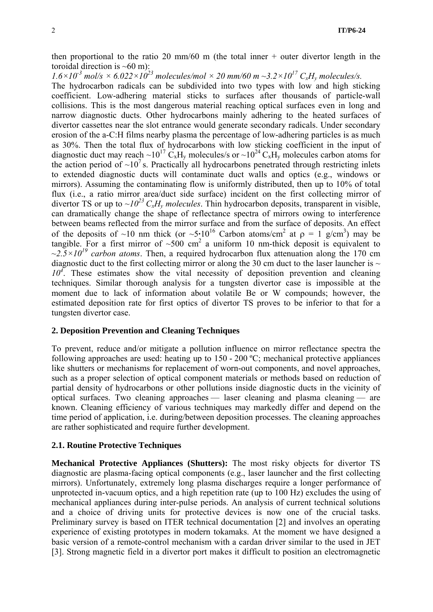then proportional to the ratio 20 mm/60 m (the total inner  $+$  outer divertor length in the toroidal direction is  $~60$  m):

 $1.6 \times 10^{-3}$  mol/s  $\times 6.022 \times 10^{23}$  molecules/mol  $\times 20$  mm/60 m  $\sim 3.2 \times 10^{17}$  C<sub>x</sub>H<sub>y</sub> molecules/s.

The hydrocarbon radicals can be subdivided into two types with low and high sticking coefficient. Low-adhering material sticks to surfaces after thousands of particle-wall collisions. This is the most dangerous material reaching optical surfaces even in long and narrow diagnostic ducts. Other hydrocarbons mainly adhering to the heated surfaces of divertor cassettes near the slot entrance would generate secondary radicals. Under secondary erosion of the a-C:H films nearby plasma the percentage of low-adhering particles is as much as 30%. Then the total flux of hydrocarbons with low sticking coefficient in the input of diagnostic duct may reach ~10<sup>17</sup> C<sub>x</sub>H<sub>y</sub> molecules/s or ~10<sup>24</sup> C<sub>x</sub>H<sub>y</sub> molecules carbon atoms for the action period of  $\sim 10^7$  s. Practically all hydrocarbons penetrated through restricting inlets to extended diagnostic ducts will contaminate duct walls and optics (e.g., windows or mirrors). Assuming the contaminating flow is uniformly distributed, then up to 10% of total flux (i.e., a ratio mirror area/duct side surface) incident on the first collecting mirror of divertor TS or up to  $\sim l_0^{23} C_x H_y$  molecules. Thin hydrocarbon deposits, transparent in visible, can dramatically change the shape of reflectance spectra of mirrors owing to interference between beams reflected from the mirror surface and from the surface of deposits. An effect of the deposits of ~10 nm thick (or  $\sim 5 \cdot 10^{16}$  Carbon atoms/cm<sup>2</sup> at  $\rho = 1$  g/cm<sup>3</sup>) may be tangible. For a first mirror of  $\sim 500$  cm<sup>2</sup> a uniform 10 nm-thick deposit is equivalent to  $\sim 2.5 \times 10^{19}$  carbon atoms. Then, a required hydrocarbon flux attenuation along the 170 cm diagnostic duct to the first collecting mirror or along the 30 cm duct to the laser launcher is  $\sim$ 10<sup>4</sup>. These estimates show the vital necessity of deposition prevention and cleaning techniques. Similar thorough analysis for a tungsten divertor case is impossible at the moment due to lack of information about volatile Be or W compounds; however, the estimated deposition rate for first optics of divertor TS proves to be inferior to that for a tungsten divertor case.

## **2. Deposition Prevention and Cleaning Techniques**

To prevent, reduce and/or mitigate a pollution influence on mirror reflectance spectra the following approaches are used: heating up to 150 - 200 ºС; mechanical protective appliances like shutters or mechanisms for replacement of worn-out components, and novel approaches, such as a proper selection of optical component materials or methods based on reduction of partial density of hydrocarbons or other pollutions inside diagnostic ducts in the vicinity of optical surfaces. Two cleaning approaches — laser cleaning and plasma cleaning — are known. Cleaning efficiency of various techniques may markedly differ and depend on the time period of application, i.e. during/between deposition processes. The cleaning approaches are rather sophisticated and require further development.

## **2.1. Routine Protective Techniques**

**Mechanical Protective Appliances (Shutters):** The most risky objects for divertor TS diagnostic are plasma-facing optical components (e.g., laser launcher and the first collecting mirrors). Unfortunately, extremely long plasma discharges require a longer performance of unprotected in-vacuum optics, and a high repetition rate (up to 100 Hz) excludes the using of mechanical appliances during inter-pulse periods. An analysis of current technical solutions and a choice of driving units for protective devices is now one of the crucial tasks. Preliminary survey is based on ITER technical documentation [2] and involves an operating experience of existing prototypes in modern tokamaks. At the moment we have designed a basic version of a remote-control mechanism with a cardan driver similar to the used in JET [3]. Strong magnetic field in a divertor port makes it difficult to position an electromagnetic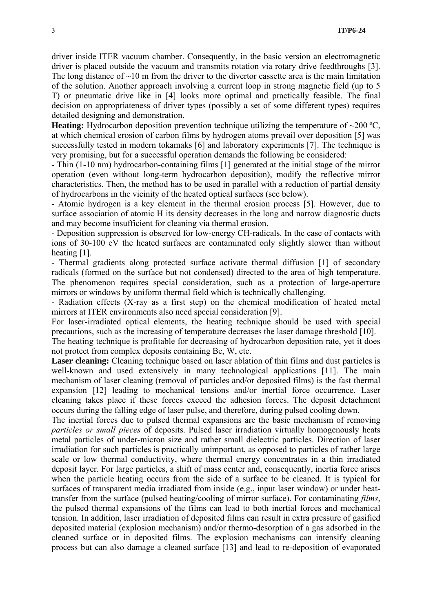driver inside ITER vacuum chamber. Consequently, in the basic version an electromagnetic driver is placed outside the vacuum and transmits rotation via rotary drive feedthroughs [3]. The long distance of  $\sim$ 10 m from the driver to the divertor cassette area is the main limitation of the solution. Another approach involving a current loop in strong magnetic field (up to 5 T) or pneumatic drive like in [4] looks more optimal and practically feasible. The final decision on appropriateness of driver types (possibly a set of some different types) requires detailed designing and demonstration.

**Heating:** Hydrocarbon deposition prevention technique utilizing the temperature of  $\sim$ 200 °C. at which chemical erosion of carbon films by hydrogen atoms prevail over deposition [5] was successfully tested in modern tokamaks [6] and laboratory experiments [7]. The technique is very promising, but for a successful operation demands the following be considered:

- Thin (1-10 nm) hydrocarbon-containing films [1] generated at the initial stage of the mirror operation (even without long-term hydrocarbon deposition), modify the reflective mirror characteristics. Then, the method has to be used in parallel with a reduction of partial density of hydrocarbons in the vicinity of the heated optical surfaces (see below).

- Atomic hydrogen is a key element in the thermal erosion process [5]. However, due to surface association of atomic H its density decreases in the long and narrow diagnostic ducts and may become insufficient for cleaning via thermal erosion.

- Deposition suppression is observed for low-energy CH-radicals. In the case of contacts with ions of 30-100 eV the heated surfaces are contaminated only slightly slower than without heating [1].

- Thermal gradients along protected surface activate thermal diffusion [1] of secondary radicals (formed on the surface but not condensed) directed to the area of high temperature. The phenomenon requires special consideration, such as a protection of large-aperture mirrors or windows by uniform thermal field which is technically challenging.

- Radiation effects (X-ray as a first step) on the chemical modification of heated metal mirrors at ITER environments also need special consideration [9].

For laser-irradiated optical elements, the heating technique should be used with special precautions, such as the increasing of temperature decreases the laser damage threshold [10].

The heating technique is profitable for decreasing of hydrocarbon deposition rate, yet it does not protect from complex deposits containing Be, W, etc.

Laser cleaning: Cleaning technique based on laser ablation of thin films and dust particles is well-known and used extensively in many technological applications [11]. The main mechanism of laser cleaning (removal of particles and/or deposited films) is the fast thermal expansion [12] leading to mechanical tensions and/or inertial force occurrence. Laser cleaning takes place if these forces exceed the adhesion forces. The deposit detachment occurs during the falling edge of laser pulse, and therefore, during pulsed cooling down.

The inertial forces due to pulsed thermal expansions are the basic mechanism of removing *particles or small pieces* of deposits. Pulsed laser irradiation virtually homogenously heats metal particles of under-micron size and rather small dielectric particles. Direction of laser irradiation for such particles is practically unimportant, as opposed to particles of rather large scale or low thermal conductivity, where thermal energy concentrates in a thin irradiated deposit layer. For large particles, a shift of mass center and, consequently, inertia force arises when the particle heating occurs from the side of a surface to be cleaned. It is typical for surfaces of transparent media irradiated from inside (e.g., input laser window) or under heattransfer from the surface (pulsed heating/cooling of mirror surface). For contaminating *films*, the pulsed thermal expansions of the films can lead to both inertial forces and mechanical tension. In addition, laser irradiation of deposited films can result in extra pressure of gasified deposited material (explosion mechanism) and/or thermo-desorption of a gas adsorbed in the cleaned surface or in deposited films. The explosion mechanisms can intensify cleaning process but can also damage a cleaned surface [13] and lead to re-deposition of evaporated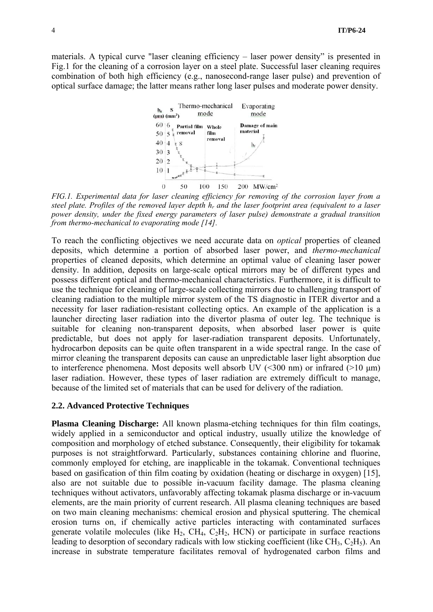materials. A typical curve "laser cleaning efficiency – laser power density" is presented in Fig.1 for the cleaning of a corrosion layer on a steel plate. Successful laser cleaning requires combination of both high efficiency (e.g., nanosecond-range laser pulse) and prevention of optical surface damage; the latter means rather long laser pulses and moderate power density.



*FIG.1. Experimental data for laser cleaning efficiency for removing of the corrosion layer from a steel plate. Profiles of the removed layer depth hr and the laser footprint area (equivalent to a laser power density, under the fixed energy parameters of laser pulse) demonstrate a gradual transition from thermo-mechanical to evaporating mode [14].* 

To reach the conflicting objectives we need accurate data on *optical* properties of cleaned deposits, which determine a portion of absorbed laser power, and *thermo-mechanical* properties of cleaned deposits, which determine an optimal value of cleaning laser power density. In addition, deposits on large-scale optical mirrors may be of different types and possess different optical and thermo-mechanical characteristics. Furthermore, it is difficult to use the technique for cleaning of large-scale collecting mirrors due to challenging transport of cleaning radiation to the multiple mirror system of the TS diagnostic in ITER divertor and a necessity for laser radiation-resistant collecting optics. An example of the application is a launcher directing laser radiation into the divertor plasma of outer leg. The technique is suitable for cleaning non-transparent deposits, when absorbed laser power is quite predictable, but does not apply for laser-radiation transparent deposits. Unfortunately, hydrocarbon deposits can be quite often transparent in a wide spectral range. In the case of mirror cleaning the transparent deposits can cause an unpredictable laser light absorption due to interference phenomena. Most deposits well absorb UV  $(\leq 300 \text{ nm})$  or infrared  $(\geq 10 \text{ µm})$ laser radiation. However, these types of laser radiation are extremely difficult to manage, because of the limited set of materials that can be used for delivery of the radiation.

#### **2.2. Advanced Protective Techniques**

**Plasma Cleaning Discharge:** All known plasma-etching techniques for thin film coatings, widely applied in a semiconductor and optical industry, usually utilize the knowledge of composition and morphology of etched substance. Consequently, their eligibility for tokamak purposes is not straightforward. Particularly, substances containing chlorine and fluorine, commonly employed for etching, are inapplicable in the tokamak. Conventional techniques based on gasification of thin film coating by oxidation (heating or discharge in oxygen) [15], also are not suitable due to possible in-vacuum facility damage. The plasma cleaning techniques without activators, unfavorably affecting tokamak plasma discharge or in-vacuum elements, are the main priority of current research. All plasma cleaning techniques are based on two main cleaning mechanisms: chemical erosion and physical sputtering. The chemical erosion turns on, if chemically active particles interacting with contaminated surfaces generate volatile molecules (like  $H_2$ , CH<sub>4</sub>, C<sub>2</sub>H<sub>2</sub>, HCN) or participate in surface reactions leading to desorption of secondary radicals with low sticking coefficient (like  $CH_3$ ,  $C_2H_5$ ). An increase in substrate temperature facilitates removal of hydrogenated carbon films and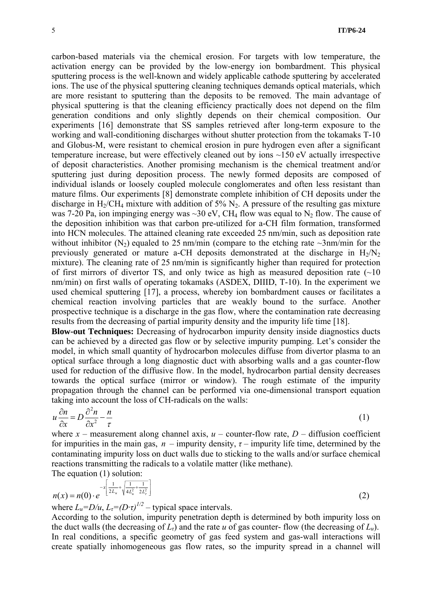carbon-based materials via the chemical erosion. For targets with low temperature, the activation energy can be provided by the low-energy ion bombardment. This physical sputtering process is the well-known and widely applicable cathode sputtering by accelerated ions. The use of the physical sputtering cleaning techniques demands optical materials, which are more resistant to sputtering than the deposits to be removed. The main advantage of physical sputtering is that the cleaning efficiency practically does not depend on the film generation conditions and only slightly depends on their chemical composition. Our experiments [16] demonstrate that SS samples retrieved after long-term exposure to the working and wall-conditioning discharges without shutter protection from the tokamaks T-10 and Globus-M, were resistant to chemical erosion in pure hydrogen even after a significant temperature increase, but were effectively cleaned out by ions ~150 eV actually irrespective of deposit characteristics. Another promising mechanism is the chemical treatment and/or sputtering just during deposition process. The newly formed deposits are composed of individual islands or loosely coupled molecule conglomerates and often less resistant than mature films. Our experiments [8] demonstrate complete inhibition of CH deposits under the discharge in  $H_2/CH_4$  mixture with addition of 5%  $N_2$ . A pressure of the resulting gas mixture was 7-20 Pa, ion impinging energy was  $\sim$ 30 eV, CH<sub>4</sub> flow was equal to N<sub>2</sub> flow. The cause of the deposition inhibition was that carbon pre-utilized for a-CH film formation, transformed into HCN molecules. The attained cleaning rate exceeded 25 nm/min, such as deposition rate without inhibitor  $(N_2)$  equaled to 25 nm/min (compare to the etching rate  $\sim$ 3nm/min for the previously generated or mature a-CH deposits demonstrated at the discharge in  $H_2/N_2$ mixture). The cleaning rate of 25 nm/min is significantly higher than required for protection of first mirrors of divertor TS, and only twice as high as measured deposition rate  $(\sim 10$ nm/min) on first walls of operating tokamaks (ASDEX, DIIID, T-10). In the experiment we used chemical sputtering [17], a process, whereby ion bombardment causes or facilitates a chemical reaction involving particles that are weakly bound to the surface. Another prospective technique is a discharge in the gas flow, where the contamination rate decreasing results from the decreasing of partial impurity density and the impurity life time [18].

**Blow-out Techniques:** Decreasing of hydrocarbon impurity density inside diagnostics ducts can be achieved by a directed gas flow or by selective impurity pumping. Let's consider the model, in which small quantity of hydrocarbon molecules diffuse from divertor plasma to an optical surface through a long diagnostic duct with absorbing walls and a gas counter-flow used for reduction of the diffusive flow. In the model, hydrocarbon partial density decreases towards the optical surface (mirror or window). The rough estimate of the impurity propagation through the channel can be performed via one-dimensional transport equation taking into account the loss of CH-radicals on the walls:

$$
u\frac{\partial n}{\partial x} = D\frac{\partial^2 n}{\partial x^2} - \frac{n}{\tau}
$$
 (1)

where  $x$  – measurement along channel axis,  $u$  – counter-flow rate,  $D$  – diffusion coefficient for impurities in the main gas,  $n$  – impurity density,  $\tau$  – impurity life time, determined by the contaminating impurity loss on duct walls due to sticking to the walls and/or surface chemical reactions transmitting the radicals to a volatile matter (like methane). The equation (1) solution:

$$
n(x) = n(0) \cdot e^{-x \left[ \frac{1}{2L_u} + \sqrt{\frac{1}{4L_u^2} + \frac{1}{2L_r^2}} \right]}
$$
(2)

where  $L_u = D/u$ ,  $L_\tau = (D \cdot \tau)^{1/2}$  – typical space intervals.

According to the solution, impurity penetration depth is determined by both impurity loss on the duct walls (the decreasing of  $L<sub>r</sub>$ ) and the rate *u* of gas counter- flow (the decreasing of  $L<sub>u</sub>$ ). In real conditions, a specific geometry of gas feed system and gas-wall interactions will create spatially inhomogeneous gas flow rates, so the impurity spread in a channel will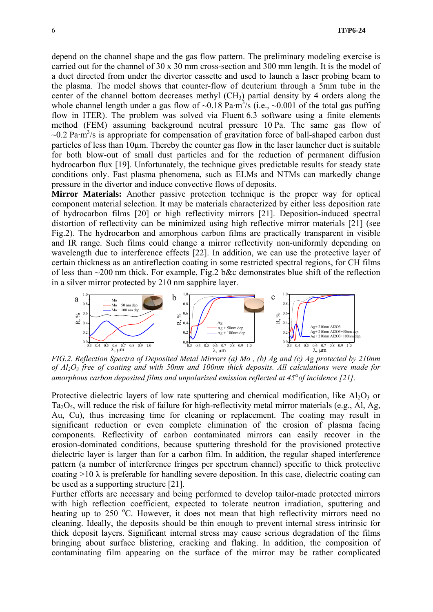depend on the channel shape and the gas flow pattern. The preliminary modeling exercise is carried out for the channel of 30 x 30 mm cross-section and 300 mm length. It is the model of a duct directed from under the divertor cassette and used to launch a laser probing beam to the plasma. The model shows that counter-flow of deuterium through a 5mm tube in the center of the channel bottom decreases methyl  $(CH_3)$  partial density by 4 orders along the whole channel length under a gas flow of  $\sim 0.18$  Pa·m<sup>3</sup>/s (i.e.,  $\sim 0.001$  of the total gas puffing flow in ITER). The problem was solved via Fluent 6.3 software using a finite elements method (FEM) assuming background neutral pressure 10 Pa. The same gas flow of  $\sim$ 0.2 Pa·m<sup>3</sup>/s is appropriate for compensation of gravitation force of ball-shaped carbon dust particles of less than  $10\mu$ m. Thereby the counter gas flow in the laser launcher duct is suitable for both blow-out of small dust particles and for the reduction of permanent diffusion hydrocarbon flux [19]. Unfortunately, the technique gives predictable results for steady state conditions only. Fast plasma phenomena, such as ELMs and NTMs can markedly change pressure in the divertor and induce convective flows of deposits.

**Mirror Materials:** Another passive protection technique is the proper way for optical component material selection. It may be materials characterized by either less deposition rate of hydrocarbon films [20] or high reflectivity mirrors [21]. Deposition-induced spectral distortion of reflectivity can be minimized using high reflective mirror materials [21] (see Fig.2). The hydrocarbon and amorphous carbon films are practically transparent in visible and IR range. Such films could change a mirror reflectivity non-uniformly depending on wavelength due to interference effects [22]. In addition, we can use the protective layer of certain thickness as an antireflection coating in some restricted spectral regions, for CH films of less than ~200 nm thick. For example, Fig.2 b&c demonstrates blue shift of the reflection in a silver mirror protected by 210 nm sapphire layer.



 *FIG.2. Reflection Spectra of Deposited Metal Mirrors (a) Mo , (b) Ag and (c) Ag protected by 210nm of Al2O3 free of coating and with 50nm and 100nm thick deposits. All calculations were made for amorphous carbon deposited films and unpolarized emission reflected at 45*°*of incidence [21].* 

Protective dielectric layers of low rate sputtering and chemical modification, like  $A_1O_3$  or Ta<sub>2</sub>O<sub>5</sub>, will reduce the risk of failure for high-reflectivity metal mirror materials (e.g., Al, Ag, Au, Cu), thus increasing time for cleaning or replacement. The coating may result in significant reduction or even complete elimination of the erosion of plasma facing components. Reflectivity of carbon contaminated mirrors can easily recover in the erosion-dominated conditions, because sputtering threshold for the provisioned protective dielectric layer is larger than for a carbon film. In addition, the regular shaped interference pattern (a number of interference fringes per spectrum channel) specific to thick protective coating  $>10 \lambda$  is preferable for handling severe deposition. In this case, dielectric coating can be used as a supporting structure [21].

Further efforts are necessary and being performed to develop tailor-made protected mirrors with high reflection coefficient, expected to tolerate neutron irradiation, sputtering and heating up to 250 °C. However, it does not mean that high reflectivity mirrors need no cleaning. Ideally, the deposits should be thin enough to prevent internal stress intrinsic for thick deposit layers. Significant internal stress may cause serious degradation of the films bringing about surface blistering, cracking and flaking. In addition, the composition of contaminating film appearing on the surface of the mirror may be rather complicated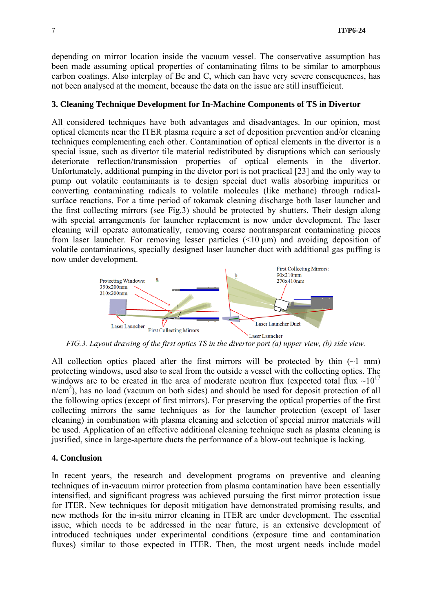depending on mirror location inside the vacuum vessel. The conservative assumption has been made assuming optical properties of contaminating films to be similar to amorphous carbon coatings. Also interplay of Be and C, which can have very severe consequences, has not been analysed at the moment, because the data on the issue are still insufficient.

#### **3. Cleaning Technique Development for In-Machine Components of TS in Divertor**

All considered techniques have both advantages and disadvantages. In our opinion, most optical elements near the ITER plasma require a set of deposition prevention and/or cleaning techniques complementing each other. Contamination of optical elements in the divertor is a special issue, such as divertor tile material redistributed by disruptions which can seriously deteriorate reflection/transmission properties of optical elements in the divertor. Unfortunately, additional pumping in the divetor port is not practical [23] and the only way to pump out volatile contaminants is to design special duct walls absorbing impurities or converting contaminating radicals to volatile molecules (like methane) through radicalsurface reactions. For a time period of tokamak cleaning discharge both laser launcher and the first collecting mirrors (see Fig.3) should be protected by shutters. Their design along with special arrangements for launcher replacement is now under development. The laser cleaning will operate automatically, removing coarse nontransparent contaminating pieces from laser launcher. For removing lesser particles  $(\leq 10 \,\mu\text{m})$  and avoiding deposition of volatile contaminations, specially designed laser launcher duct with additional gas puffing is now under development.



*FIG.3. Layout drawing of the first optics TS in the divertor port (a) upper view, (b) side view.* 

All collection optics placed after the first mirrors will be protected by thin  $(-1 \text{ mm})$ protecting windows, used also to seal from the outside a vessel with the collecting optics. The windows are to be created in the area of moderate neutron flux (expected total flux  $\sim 10^{17}$ )  $n/cm<sup>2</sup>$ ), has no load (vacuum on both sides) and should be used for deposit protection of all the following optics (except of first mirrors). For preserving the optical properties of the first collecting mirrors the same techniques as for the launcher protection (except of laser cleaning) in combination with plasma cleaning and selection of special mirror materials will be used. Application of an effective additional cleaning technique such as plasma cleaning is justified, since in large-aperture ducts the performance of a blow-out technique is lacking.

## **4. Conclusion**

In recent years, the research and development programs on preventive and cleaning techniques of in-vacuum mirror protection from plasma contamination have been essentially intensified, and significant progress was achieved pursuing the first mirror protection issue for ITER. New techniques for deposit mitigation have demonstrated promising results, and new methods for the in-situ mirror cleaning in ITER are under development. The essential issue, which needs to be addressed in the near future, is an extensive development of introduced techniques under experimental conditions (exposure time and contamination fluxes) similar to those expected in ITER. Then, the most urgent needs include model